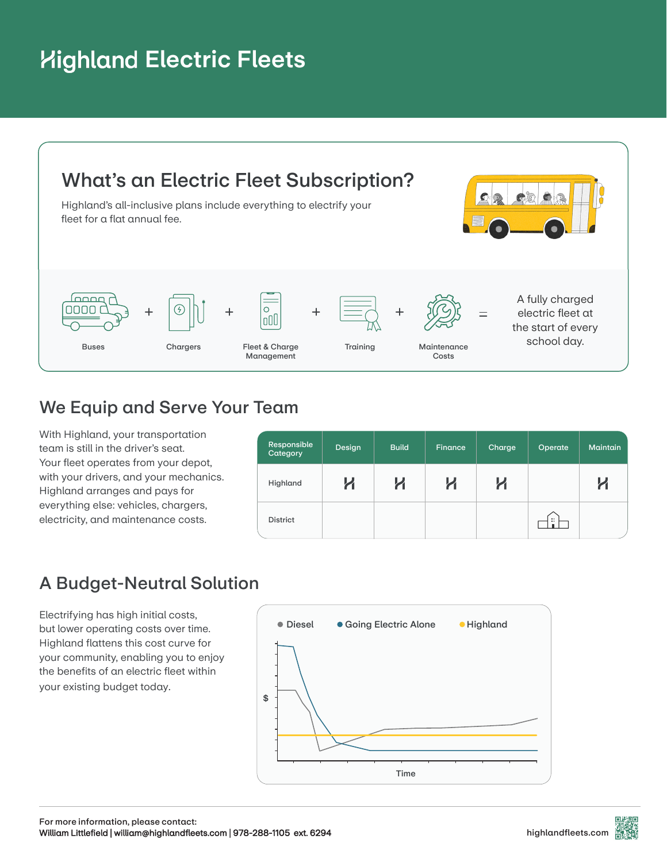# **Highland Electric Fleets**



### We Equip and Serve Your Team

With Highland, your transportation team is still in the driver's seat. Your fleet operates from your depot, with your drivers, and your mechanics. Highland arranges and pays for everything else: vehicles, chargers, electricity, and maintenance costs.

| Responsible<br>Category | Design | <b>Build</b> | Finance | Charge | Operate             | <b>Maintain</b> |
|-------------------------|--------|--------------|---------|--------|---------------------|-----------------|
| Highland                |        | K            | K       | n      |                     | n               |
| <b>District</b>         |        |              |         |        | $\mathbf{H}$<br>-ii |                 |

## A Budget-Neutral Solution

Electrifying has high initial costs, but lower operating costs over time. Highland flattens this cost curve for your community, enabling you to enjoy the benefits of an electric fleet within your existing budget today.